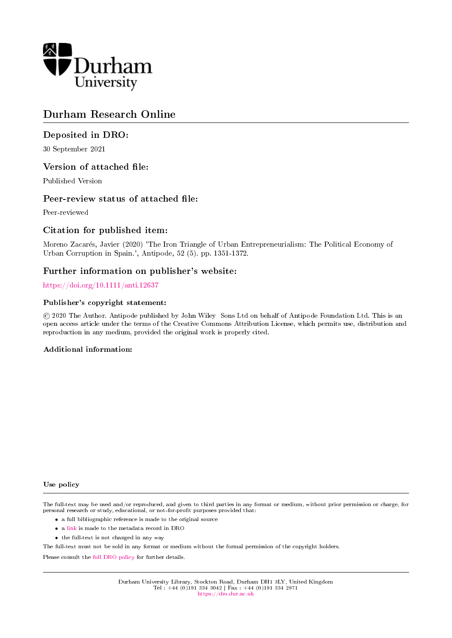

# Durham Research Online

#### Deposited in DRO:

30 September 2021

#### Version of attached file:

Published Version

#### Peer-review status of attached file:

Peer-reviewed

#### Citation for published item:

Moreno Zacares, Javier (2020) 'The Iron Triangle of Urban Entrepreneurialism: The Political Economy of Urban Corruption in Spain.', Antipode, 52 (5). pp. 1351-1372.

#### Further information on publisher's website:

<https://doi.org/10.1111/anti.12637>

#### Publisher's copyright statement:

 c 2020 The Author. Antipode published by John Wiley Sons Ltd on behalf of Antipode Foundation Ltd. This is an open access article under the terms of the Creative Commons Attribution License, which permits use, distribution and reproduction in any medium, provided the original work is properly cited.

#### Additional information:

#### Use policy

The full-text may be used and/or reproduced, and given to third parties in any format or medium, without prior permission or charge, for personal research or study, educational, or not-for-profit purposes provided that:

- a full bibliographic reference is made to the original source
- a [link](http://dro.dur.ac.uk/34010/) is made to the metadata record in DRO
- the full-text is not changed in any way

The full-text must not be sold in any format or medium without the formal permission of the copyright holders.

Please consult the [full DRO policy](https://dro.dur.ac.uk/policies/usepolicy.pdf) for further details.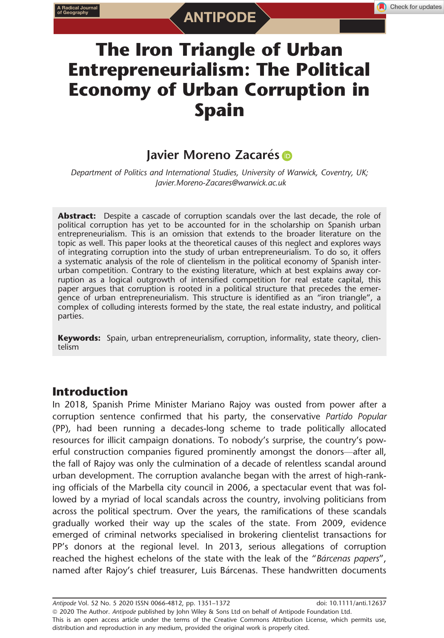# The Iron Triangle of Urban Entrepreneurialism: The Political Economy of Urban Corruption in Spain

# Javier Moreno Zacaré[s](https://orcid.org/0000-0001-5918-3081)<sup>®</sup>

Department of Politics and International Studies, University of Warwick, Coventry, UK; Javier.Moreno-Zacares@warwick.ac.uk

**Abstract:** Despite a cascade of corruption scandals over the last decade, the role of political corruption has yet to be accounted for in the scholarship on Spanish urban entrepreneurialism. This is an omission that extends to the broader literature on the topic as well. This paper looks at the theoretical causes of this neglect and explores ways of integrating corruption into the study of urban entrepreneurialism. To do so, it offers a systematic analysis of the role of clientelism in the political economy of Spanish interurban competition. Contrary to the existing literature, which at best explains away corruption as a logical outgrowth of intensified competition for real estate capital, this paper argues that corruption is rooted in a political structure that precedes the emergence of urban entrepreneurialism. This structure is identified as an "iron triangle", a complex of colluding interests formed by the state, the real estate industry, and political parties.

Keywords: Spain, urban entrepreneurialism, corruption, informality, state theory, clientelism

# Introduction

In 2018, Spanish Prime Minister Mariano Rajoy was ousted from power after a corruption sentence confirmed that his party, the conservative Partido Popular (PP), had been running a decades-long scheme to trade politically allocated resources for illicit campaign donations. To nobody's surprise, the country's powerful construction companies figured prominently amongst the donors—after all, the fall of Rajoy was only the culmination of a decade of relentless scandal around urban development. The corruption avalanche began with the arrest of high-ranking officials of the Marbella city council in 2006, a spectacular event that was followed by a myriad of local scandals across the country, involving politicians from across the political spectrum. Over the years, the ramifications of these scandals gradually worked their way up the scales of the state. From 2009, evidence emerged of criminal networks specialised in brokering clientelist transactions for PP's donors at the regional level. In 2013, serious allegations of corruption reached the highest echelons of the state with the leak of the "Barcenas papers", named after Rajoy's chief treasurer, Luis Barcenas. These handwritten documents

Antipode Vol. 52 No. 5 2020 ISSN 0066-4812, pp. 1351–1372 doi: 10.1111/anti.12637 ª 2020 The Author. Antipode published by John Wiley & Sons Ltd on behalf of Antipode Foundation Ltd. This is an open access article under the terms of the [Creative Commons Attribution](http://creativecommons.org/licenses/by/4.0/) License, which permits use, distribution and reproduction in any medium, provided the original work is properly cited.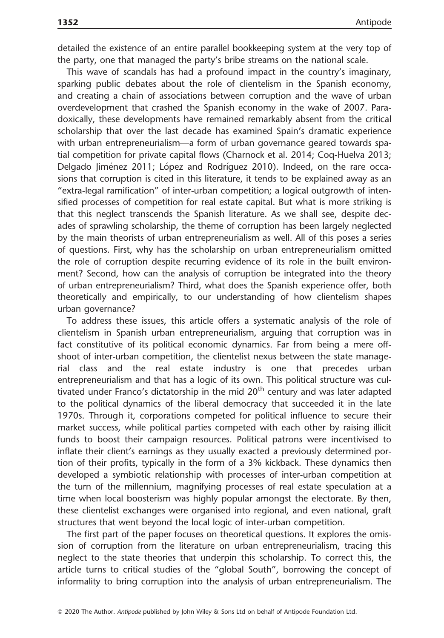detailed the existence of an entire parallel bookkeeping system at the very top of the party, one that managed the party's bribe streams on the national scale.

This wave of scandals has had a profound impact in the country's imaginary, sparking public debates about the role of clientelism in the Spanish economy, and creating a chain of associations between corruption and the wave of urban overdevelopment that crashed the Spanish economy in the wake of 2007. Paradoxically, these developments have remained remarkably absent from the critical scholarship that over the last decade has examined Spain's dramatic experience with urban entrepreneurialism—a form of urban governance geared towards spatial competition for private capital flows (Charnock et al. 2014; Coq-Huelva 2013; Delgado Jiménez 2011; López and Rodríguez 2010). Indeed, on the rare occasions that corruption is cited in this literature, it tends to be explained away as an "extra-legal ramification" of inter-urban competition; a logical outgrowth of intensified processes of competition for real estate capital. But what is more striking is that this neglect transcends the Spanish literature. As we shall see, despite decades of sprawling scholarship, the theme of corruption has been largely neglected by the main theorists of urban entrepreneurialism as well. All of this poses a series of questions. First, why has the scholarship on urban entrepreneurialism omitted the role of corruption despite recurring evidence of its role in the built environment? Second, how can the analysis of corruption be integrated into the theory of urban entrepreneurialism? Third, what does the Spanish experience offer, both theoretically and empirically, to our understanding of how clientelism shapes urban governance?

To address these issues, this article offers a systematic analysis of the role of clientelism in Spanish urban entrepreneurialism, arguing that corruption was in fact constitutive of its political economic dynamics. Far from being a mere offshoot of inter-urban competition, the clientelist nexus between the state managerial class and the real estate industry is one that precedes urban entrepreneurialism and that has a logic of its own. This political structure was cultivated under Franco's dictatorship in the mid 20<sup>th</sup> century and was later adapted to the political dynamics of the liberal democracy that succeeded it in the late 1970s. Through it, corporations competed for political influence to secure their market success, while political parties competed with each other by raising illicit funds to boost their campaign resources. Political patrons were incentivised to inflate their client's earnings as they usually exacted a previously determined portion of their profits, typically in the form of a 3% kickback. These dynamics then developed a symbiotic relationship with processes of inter-urban competition at the turn of the millennium, magnifying processes of real estate speculation at a time when local boosterism was highly popular amongst the electorate. By then, these clientelist exchanges were organised into regional, and even national, graft structures that went beyond the local logic of inter-urban competition.

The first part of the paper focuses on theoretical questions. It explores the omission of corruption from the literature on urban entrepreneurialism, tracing this neglect to the state theories that underpin this scholarship. To correct this, the article turns to critical studies of the "global South", borrowing the concept of informality to bring corruption into the analysis of urban entrepreneurialism. The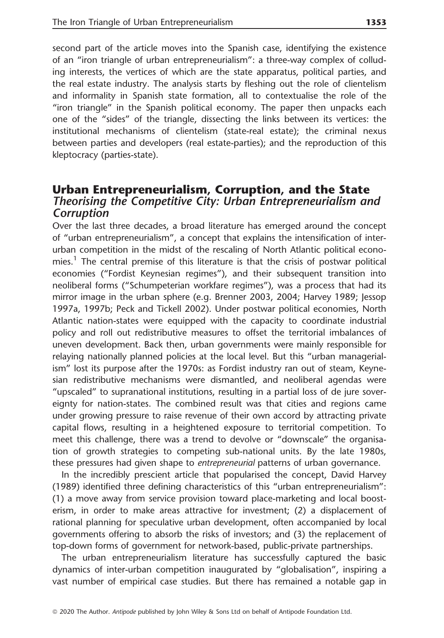second part of the article moves into the Spanish case, identifying the existence of an "iron triangle of urban entrepreneurialism": a three-way complex of colluding interests, the vertices of which are the state apparatus, political parties, and the real estate industry. The analysis starts by fleshing out the role of clientelism and informality in Spanish state formation, all to contextualise the role of the "iron triangle" in the Spanish political economy. The paper then unpacks each one of the "sides" of the triangle, dissecting the links between its vertices: the institutional mechanisms of clientelism (state-real estate); the criminal nexus between parties and developers (real estate-parties); and the reproduction of this kleptocracy (parties-state).

#### Urban Entrepreneurialism, Corruption, and the State Theorising the Competitive City: Urban Entrepreneurialism and Corruption

Over the last three decades, a broad literature has emerged around the concept of "urban entrepreneurialism", a concept that explains the intensification of interurban competition in the midst of the rescaling of North Atlantic political economies.<sup>1</sup> The central premise of this literature is that the crisis of postwar political economies ("Fordist Keynesian regimes"), and their subsequent transition into neoliberal forms ("Schumpeterian workfare regimes"), was a process that had its mirror image in the urban sphere (e.g. Brenner 2003, 2004; Harvey 1989; Jessop 1997a, 1997b; Peck and Tickell 2002). Under postwar political economies, North Atlantic nation-states were equipped with the capacity to coordinate industrial policy and roll out redistributive measures to offset the territorial imbalances of uneven development. Back then, urban governments were mainly responsible for relaying nationally planned policies at the local level. But this "urban managerialism" lost its purpose after the 1970s: as Fordist industry ran out of steam, Keynesian redistributive mechanisms were dismantled, and neoliberal agendas were "upscaled" to supranational institutions, resulting in a partial loss of de jure sovereignty for nation-states. The combined result was that cities and regions came under growing pressure to raise revenue of their own accord by attracting private capital flows, resulting in a heightened exposure to territorial competition. To meet this challenge, there was a trend to devolve or "downscale" the organisation of growth strategies to competing sub-national units. By the late 1980s, these pressures had given shape to entrepreneurial patterns of urban governance.

In the incredibly prescient article that popularised the concept, David Harvey (1989) identified three defining characteristics of this "urban entrepreneurialism": (1) a move away from service provision toward place-marketing and local boosterism, in order to make areas attractive for investment; (2) a displacement of rational planning for speculative urban development, often accompanied by local governments offering to absorb the risks of investors; and (3) the replacement of top-down forms of government for network-based, public-private partnerships.

The urban entrepreneurialism literature has successfully captured the basic dynamics of inter-urban competition inaugurated by "globalisation", inspiring a vast number of empirical case studies. But there has remained a notable gap in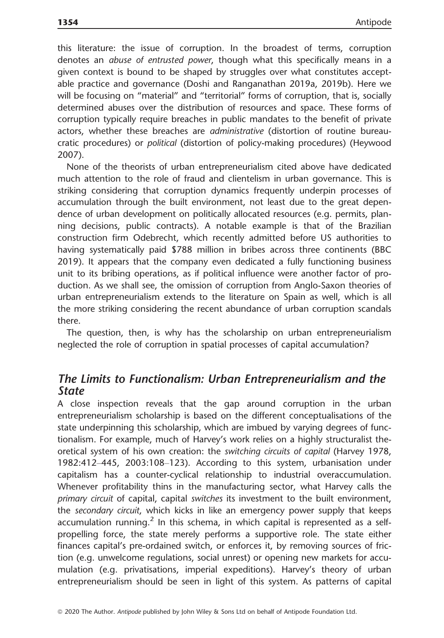this literature: the issue of corruption. In the broadest of terms, corruption denotes an abuse of entrusted power, though what this specifically means in a given context is bound to be shaped by struggles over what constitutes acceptable practice and governance (Doshi and Ranganathan 2019a, 2019b). Here we will be focusing on "material" and "territorial" forms of corruption, that is, socially determined abuses over the distribution of resources and space. These forms of corruption typically require breaches in public mandates to the benefit of private actors, whether these breaches are administrative (distortion of routine bureaucratic procedures) or political (distortion of policy-making procedures) (Heywood 2007).

None of the theorists of urban entrepreneurialism cited above have dedicated much attention to the role of fraud and clientelism in urban governance. This is striking considering that corruption dynamics frequently underpin processes of accumulation through the built environment, not least due to the great dependence of urban development on politically allocated resources (e.g. permits, planning decisions, public contracts). A notable example is that of the Brazilian construction firm Odebrecht, which recently admitted before US authorities to having systematically paid \$788 million in bribes across three continents (BBC 2019). It appears that the company even dedicated a fully functioning business unit to its bribing operations, as if political influence were another factor of production. As we shall see, the omission of corruption from Anglo-Saxon theories of urban entrepreneurialism extends to the literature on Spain as well, which is all the more striking considering the recent abundance of urban corruption scandals there.

The question, then, is why has the scholarship on urban entrepreneurialism neglected the role of corruption in spatial processes of capital accumulation?

# The Limits to Functionalism: Urban Entrepreneurialism and the State

A close inspection reveals that the gap around corruption in the urban entrepreneurialism scholarship is based on the different conceptualisations of the state underpinning this scholarship, which are imbued by varying degrees of functionalism. For example, much of Harvey's work relies on a highly structuralist theoretical system of his own creation: the switching circuits of capital (Harvey 1978, 1982:412–445, 2003:108–123). According to this system, urbanisation under capitalism has a counter-cyclical relationship to industrial overaccumulation. Whenever profitability thins in the manufacturing sector, what Harvey calls the primary circuit of capital, capital switches its investment to the built environment, the secondary circuit, which kicks in like an emergency power supply that keeps accumulation running.<sup>2</sup> In this schema, in which capital is represented as a selfpropelling force, the state merely performs a supportive role. The state either finances capital's pre-ordained switch, or enforces it, by removing sources of friction (e.g. unwelcome regulations, social unrest) or opening new markets for accumulation (e.g. privatisations, imperial expeditions). Harvey's theory of urban entrepreneurialism should be seen in light of this system. As patterns of capital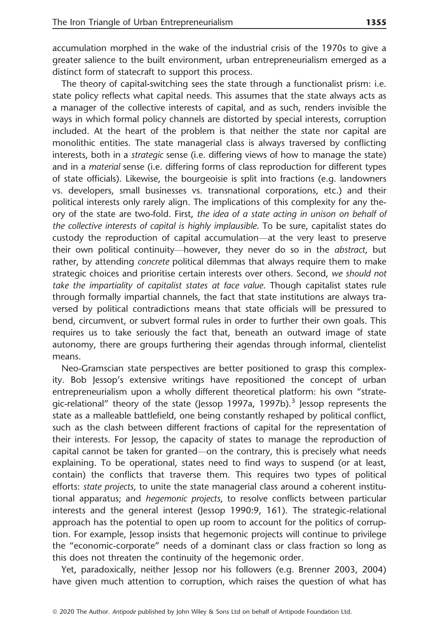accumulation morphed in the wake of the industrial crisis of the 1970s to give a greater salience to the built environment, urban entrepreneurialism emerged as a distinct form of statecraft to support this process.

The theory of capital-switching sees the state through a functionalist prism: i.e. state policy reflects what capital needs. This assumes that the state always acts as a manager of the collective interests of capital, and as such, renders invisible the ways in which formal policy channels are distorted by special interests, corruption included. At the heart of the problem is that neither the state nor capital are monolithic entities. The state managerial class is always traversed by conflicting interests, both in a strategic sense (i.e. differing views of how to manage the state) and in a material sense (i.e. differing forms of class reproduction for different types of state officials). Likewise, the bourgeoisie is split into fractions (e.g. landowners vs. developers, small businesses vs. transnational corporations, etc.) and their political interests only rarely align. The implications of this complexity for any theory of the state are two-fold. First, the idea of a state acting in unison on behalf of the collective interests of capital is highly implausible. To be sure, capitalist states do custody the reproduction of capital accumulation—at the very least to preserve their own political continuity—however, they never do so in the *abstract*, but rather, by attending *concrete* political dilemmas that always require them to make strategic choices and prioritise certain interests over others. Second, we should not take the impartiality of capitalist states at face value. Though capitalist states rule through formally impartial channels, the fact that state institutions are always traversed by political contradictions means that state officials will be pressured to bend, circumvent, or subvert formal rules in order to further their own goals. This requires us to take seriously the fact that, beneath an outward image of state autonomy, there are groups furthering their agendas through informal, clientelist means.

Neo-Gramscian state perspectives are better positioned to grasp this complexity. Bob Jessop's extensive writings have repositioned the concept of urban entrepreneurialism upon a wholly different theoretical platform: his own "strategic-relational" theory of the state (Jessop 1997a, 1997b).<sup>3</sup> Jessop represents the state as a malleable battlefield, one being constantly reshaped by political conflict, such as the clash between different fractions of capital for the representation of their interests. For Jessop, the capacity of states to manage the reproduction of capital cannot be taken for granted—on the contrary, this is precisely what needs explaining. To be operational, states need to find ways to suspend (or at least, contain) the conflicts that traverse them. This requires two types of political efforts: state projects, to unite the state managerial class around a coherent institutional apparatus; and *hegemonic projects*, to resolve conflicts between particular interests and the general interest (Jessop 1990:9, 161). The strategic-relational approach has the potential to open up room to account for the politics of corruption. For example, Jessop insists that hegemonic projects will continue to privilege the "economic-corporate" needs of a dominant class or class fraction so long as this does not threaten the continuity of the hegemonic order.

Yet, paradoxically, neither Jessop nor his followers (e.g. Brenner 2003, 2004) have given much attention to corruption, which raises the question of what has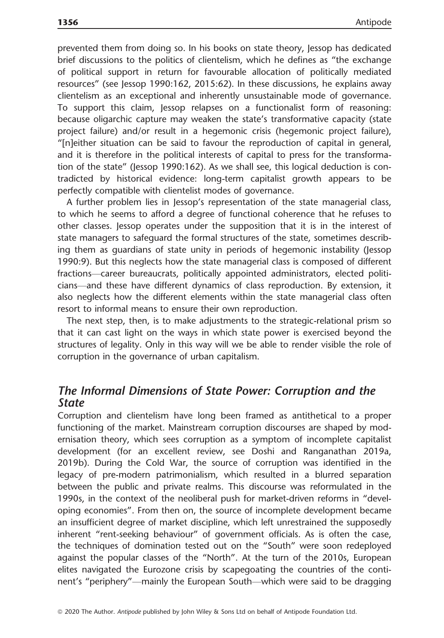prevented them from doing so. In his books on state theory, Jessop has dedicated brief discussions to the politics of clientelism, which he defines as "the exchange of political support in return for favourable allocation of politically mediated resources" (see Jessop 1990:162, 2015:62). In these discussions, he explains away clientelism as an exceptional and inherently unsustainable mode of governance. To support this claim, Jessop relapses on a functionalist form of reasoning: because oligarchic capture may weaken the state's transformative capacity (state project failure) and/or result in a hegemonic crisis (hegemonic project failure), "[n]either situation can be said to favour the reproduction of capital in general, and it is therefore in the political interests of capital to press for the transformation of the state" (Jessop 1990:162). As we shall see, this logical deduction is contradicted by historical evidence: long-term capitalist growth appears to be perfectly compatible with clientelist modes of governance.

A further problem lies in Jessop's representation of the state managerial class, to which he seems to afford a degree of functional coherence that he refuses to other classes. Jessop operates under the supposition that it is in the interest of state managers to safeguard the formal structures of the state, sometimes describing them as guardians of state unity in periods of hegemonic instability (Jessop 1990:9). But this neglects how the state managerial class is composed of different fractions—career bureaucrats, politically appointed administrators, elected politicians—and these have different dynamics of class reproduction. By extension, it also neglects how the different elements within the state managerial class often resort to informal means to ensure their own reproduction.

The next step, then, is to make adjustments to the strategic-relational prism so that it can cast light on the ways in which state power is exercised beyond the structures of legality. Only in this way will we be able to render visible the role of corruption in the governance of urban capitalism.

#### The Informal Dimensions of State Power: Corruption and the State

Corruption and clientelism have long been framed as antithetical to a proper functioning of the market. Mainstream corruption discourses are shaped by modernisation theory, which sees corruption as a symptom of incomplete capitalist development (for an excellent review, see Doshi and Ranganathan 2019a, 2019b). During the Cold War, the source of corruption was identified in the legacy of pre-modern patrimonialism, which resulted in a blurred separation between the public and private realms. This discourse was reformulated in the 1990s, in the context of the neoliberal push for market-driven reforms in "developing economies". From then on, the source of incomplete development became an insufficient degree of market discipline, which left unrestrained the supposedly inherent "rent-seeking behaviour" of government officials. As is often the case, the techniques of domination tested out on the "South" were soon redeployed against the popular classes of the "North". At the turn of the 2010s, European elites navigated the Eurozone crisis by scapegoating the countries of the continent's "periphery"—mainly the European South—which were said to be dragging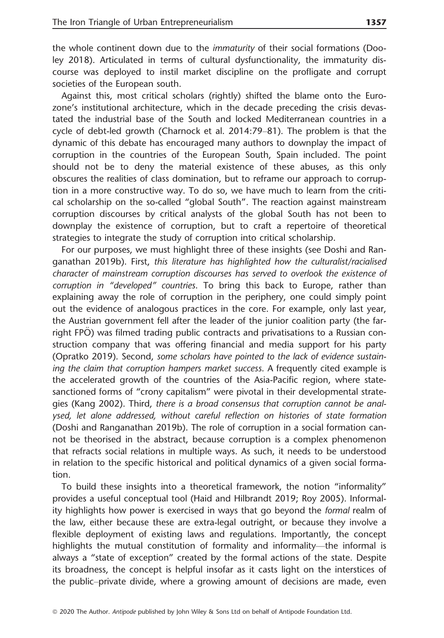the whole continent down due to the *immaturity* of their social formations (Dooley 2018). Articulated in terms of cultural dysfunctionality, the immaturity discourse was deployed to instil market discipline on the profligate and corrupt societies of the European south.

Against this, most critical scholars (rightly) shifted the blame onto the Eurozone's institutional architecture, which in the decade preceding the crisis devastated the industrial base of the South and locked Mediterranean countries in a cycle of debt-led growth (Charnock et al. 2014:79–81). The problem is that the dynamic of this debate has encouraged many authors to downplay the impact of corruption in the countries of the European South, Spain included. The point should not be to deny the material existence of these abuses, as this only obscures the realities of class domination, but to reframe our approach to corruption in a more constructive way. To do so, we have much to learn from the critical scholarship on the so-called "global South". The reaction against mainstream corruption discourses by critical analysts of the global South has not been to downplay the existence of corruption, but to craft a repertoire of theoretical strategies to integrate the study of corruption into critical scholarship.

For our purposes, we must highlight three of these insights (see Doshi and Ranganathan 2019b). First, this literature has highlighted how the culturalist/racialised character of mainstream corruption discourses has served to overlook the existence of corruption in "developed" countries. To bring this back to Europe, rather than explaining away the role of corruption in the periphery, one could simply point out the evidence of analogous practices in the core. For example, only last year, the Austrian government fell after the leader of the junior coalition party (the farright  $F(\overline{O})$  was filmed trading public contracts and privatisations to a Russian construction company that was offering financial and media support for his party (Opratko 2019). Second, some scholars have pointed to the lack of evidence sustaining the claim that corruption hampers market success. A frequently cited example is the accelerated growth of the countries of the Asia-Pacific region, where statesanctioned forms of "crony capitalism" were pivotal in their developmental strategies (Kang 2002). Third, there is a broad consensus that corruption cannot be analysed, let alone addressed, without careful reflection on histories of state formation (Doshi and Ranganathan 2019b). The role of corruption in a social formation cannot be theorised in the abstract, because corruption is a complex phenomenon that refracts social relations in multiple ways. As such, it needs to be understood in relation to the specific historical and political dynamics of a given social formation.

To build these insights into a theoretical framework, the notion "informality" provides a useful conceptual tool (Haid and Hilbrandt 2019; Roy 2005). Informality highlights how power is exercised in ways that go beyond the formal realm of the law, either because these are extra-legal outright, or because they involve a flexible deployment of existing laws and regulations. Importantly, the concept highlights the mutual constitution of formality and informality—the informal is always a "state of exception" created by the formal actions of the state. Despite its broadness, the concept is helpful insofar as it casts light on the interstices of the public–private divide, where a growing amount of decisions are made, even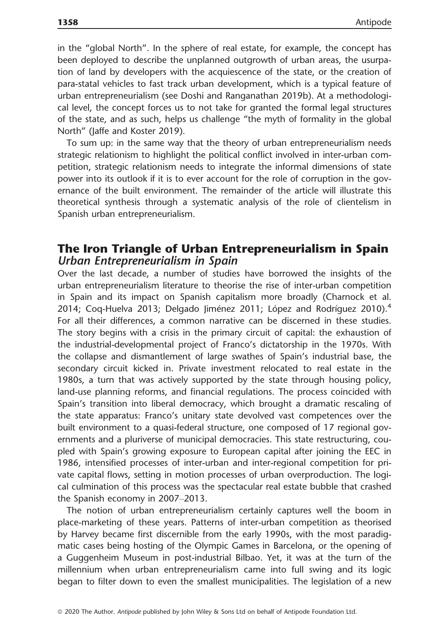in the "global North". In the sphere of real estate, for example, the concept has been deployed to describe the unplanned outgrowth of urban areas, the usurpation of land by developers with the acquiescence of the state, or the creation of para-statal vehicles to fast track urban development, which is a typical feature of urban entrepreneurialism (see Doshi and Ranganathan 2019b). At a methodological level, the concept forces us to not take for granted the formal legal structures of the state, and as such, helps us challenge "the myth of formality in the global North" (Jaffe and Koster 2019).

To sum up: in the same way that the theory of urban entrepreneurialism needs strategic relationism to highlight the political conflict involved in inter-urban competition, strategic relationism needs to integrate the informal dimensions of state power into its outlook if it is to ever account for the role of corruption in the governance of the built environment. The remainder of the article will illustrate this theoretical synthesis through a systematic analysis of the role of clientelism in Spanish urban entrepreneurialism.

#### The Iron Triangle of Urban Entrepreneurialism in Spain Urban Entrepreneurialism in Spain

Over the last decade, a number of studies have borrowed the insights of the urban entrepreneurialism literature to theorise the rise of inter-urban competition in Spain and its impact on Spanish capitalism more broadly (Charnock et al. 2014; Coq-Huelva 2013; Delgado Jiménez 2011; López and Rodríguez 2010).<sup>4</sup> For all their differences, a common narrative can be discerned in these studies. The story begins with a crisis in the primary circuit of capital: the exhaustion of the industrial-developmental project of Franco's dictatorship in the 1970s. With the collapse and dismantlement of large swathes of Spain's industrial base, the secondary circuit kicked in. Private investment relocated to real estate in the 1980s, a turn that was actively supported by the state through housing policy, land-use planning reforms, and financial regulations. The process coincided with Spain's transition into liberal democracy, which brought a dramatic rescaling of the state apparatus: Franco's unitary state devolved vast competences over the built environment to a quasi-federal structure, one composed of 17 regional governments and a pluriverse of municipal democracies. This state restructuring, coupled with Spain's growing exposure to European capital after joining the EEC in 1986, intensified processes of inter-urban and inter-regional competition for private capital flows, setting in motion processes of urban overproduction. The logical culmination of this process was the spectacular real estate bubble that crashed the Spanish economy in 2007–2013.

The notion of urban entrepreneurialism certainly captures well the boom in place-marketing of these years. Patterns of inter-urban competition as theorised by Harvey became first discernible from the early 1990s, with the most paradigmatic cases being hosting of the Olympic Games in Barcelona, or the opening of a Guggenheim Museum in post-industrial Bilbao. Yet, it was at the turn of the millennium when urban entrepreneurialism came into full swing and its logic began to filter down to even the smallest municipalities. The legislation of a new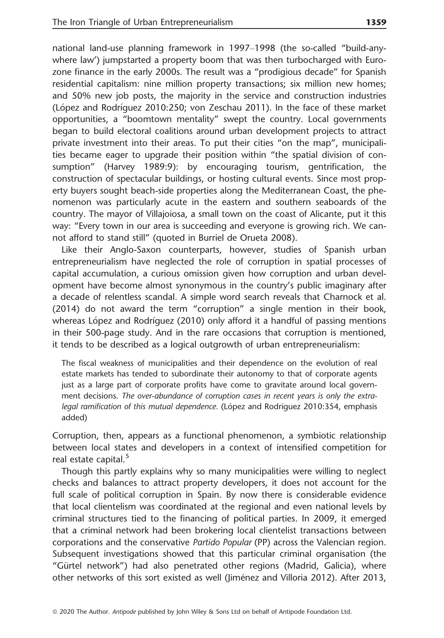national land-use planning framework in 1997–1998 (the so-called "build-anywhere law') jumpstarted a property boom that was then turbocharged with Eurozone finance in the early 2000s. The result was a "prodigious decade" for Spanish residential capitalism: nine million property transactions; six million new homes; and 50% new job posts, the majority in the service and construction industries (López and Rodríguez 2010:250; von Zeschau 2011). In the face of these market opportunities, a "boomtown mentality" swept the country. Local governments began to build electoral coalitions around urban development projects to attract private investment into their areas. To put their cities "on the map", municipalities became eager to upgrade their position within "the spatial division of consumption" (Harvey 1989:9): by encouraging tourism, gentrification, the construction of spectacular buildings, or hosting cultural events. Since most property buyers sought beach-side properties along the Mediterranean Coast, the phenomenon was particularly acute in the eastern and southern seaboards of the country. The mayor of Villajoiosa, a small town on the coast of Alicante, put it this way: "Every town in our area is succeeding and everyone is growing rich. We cannot afford to stand still" (quoted in Burriel de Orueta 2008).

Like their Anglo-Saxon counterparts, however, studies of Spanish urban entrepreneurialism have neglected the role of corruption in spatial processes of capital accumulation, a curious omission given how corruption and urban development have become almost synonymous in the country's public imaginary after a decade of relentless scandal. A simple word search reveals that Charnock et al. (2014) do not award the term "corruption" a single mention in their book, whereas López and Rodríguez (2010) only afford it a handful of passing mentions in their 500-page study. And in the rare occasions that corruption is mentioned, it tends to be described as a logical outgrowth of urban entrepreneurialism:

The fiscal weakness of municipalities and their dependence on the evolution of real estate markets has tended to subordinate their autonomy to that of corporate agents just as a large part of corporate profits have come to gravitate around local government decisions. The over-abundance of corruption cases in recent years is only the extralegal ramification of this mutual dependence. (López and Rodríguez 2010:354, emphasis added)

Corruption, then, appears as a functional phenomenon, a symbiotic relationship between local states and developers in a context of intensified competition for real estate capital.<sup>5</sup>

Though this partly explains why so many municipalities were willing to neglect checks and balances to attract property developers, it does not account for the full scale of political corruption in Spain. By now there is considerable evidence that local clientelism was coordinated at the regional and even national levels by criminal structures tied to the financing of political parties. In 2009, it emerged that a criminal network had been brokering local clientelist transactions between corporations and the conservative Partido Popular (PP) across the Valencian region. Subsequent investigations showed that this particular criminal organisation (the "Gürtel network") had also penetrated other regions (Madrid, Galicia), where other networks of this sort existed as well (Jimenez and Villoria 2012). After 2013,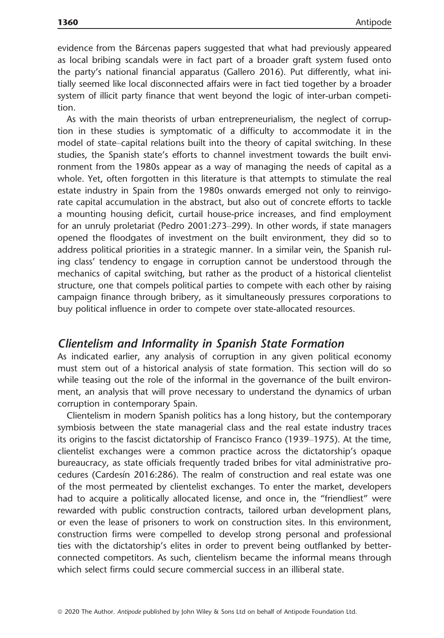evidence from the Barcenas papers suggested that what had previously appeared as local bribing scandals were in fact part of a broader graft system fused onto the party's national financial apparatus (Gallero 2016). Put differently, what initially seemed like local disconnected affairs were in fact tied together by a broader system of illicit party finance that went beyond the logic of inter-urban competition.

As with the main theorists of urban entrepreneurialism, the neglect of corruption in these studies is symptomatic of a difficulty to accommodate it in the model of state–capital relations built into the theory of capital switching. In these studies, the Spanish state's efforts to channel investment towards the built environment from the 1980s appear as a way of managing the needs of capital as a whole. Yet, often forgotten in this literature is that attempts to stimulate the real estate industry in Spain from the 1980s onwards emerged not only to reinvigorate capital accumulation in the abstract, but also out of concrete efforts to tackle a mounting housing deficit, curtail house-price increases, and find employment for an unruly proletariat (Pedro 2001:273–299). In other words, if state managers opened the floodgates of investment on the built environment, they did so to address political priorities in a strategic manner. In a similar vein, the Spanish ruling class' tendency to engage in corruption cannot be understood through the mechanics of capital switching, but rather as the product of a historical clientelist structure, one that compels political parties to compete with each other by raising campaign finance through bribery, as it simultaneously pressures corporations to buy political influence in order to compete over state-allocated resources.

# Clientelism and Informality in Spanish State Formation

As indicated earlier, any analysis of corruption in any given political economy must stem out of a historical analysis of state formation. This section will do so while teasing out the role of the informal in the governance of the built environment, an analysis that will prove necessary to understand the dynamics of urban corruption in contemporary Spain.

Clientelism in modern Spanish politics has a long history, but the contemporary symbiosis between the state managerial class and the real estate industry traces its origins to the fascist dictatorship of Francisco Franco (1939–1975). At the time, clientelist exchanges were a common practice across the dictatorship's opaque bureaucracy, as state officials frequently traded bribes for vital administrative procedures (Cardesın 2016:286). The realm of construction and real estate was one of the most permeated by clientelist exchanges. To enter the market, developers had to acquire a politically allocated license, and once in, the "friendliest" were rewarded with public construction contracts, tailored urban development plans, or even the lease of prisoners to work on construction sites. In this environment, construction firms were compelled to develop strong personal and professional ties with the dictatorship's elites in order to prevent being outflanked by betterconnected competitors. As such, clientelism became the informal means through which select firms could secure commercial success in an illiberal state.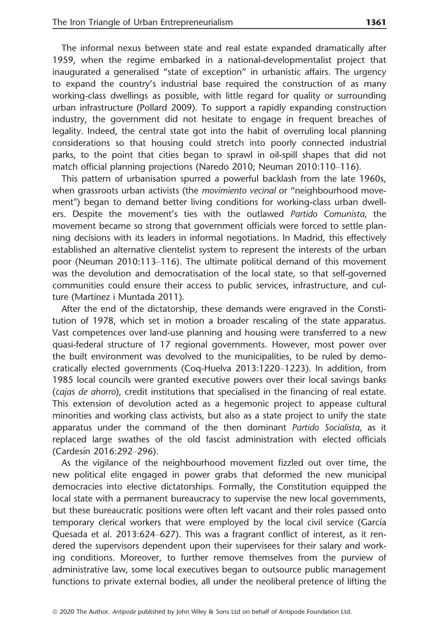The informal nexus between state and real estate expanded dramatically after 1959, when the regime embarked in a national-developmentalist project that inaugurated a generalised "state of exception" in urbanistic affairs. The urgency to expand the country's industrial base required the construction of as many working-class dwellings as possible, with little regard for quality or surrounding urban infrastructure (Pollard 2009). To support a rapidly expanding construction industry, the government did not hesitate to engage in frequent breaches of legality. Indeed, the central state got into the habit of overruling local planning considerations so that housing could stretch into poorly connected industrial parks, to the point that cities began to sprawl in oil-spill shapes that did not match official planning projections (Naredo 2010; Neuman 2010:110–116).

This pattern of urbanisation spurred a powerful backlash from the late 1960s, when grassroots urban activists (the *movimiento vecinal* or "neighbourhood movement") began to demand better living conditions for working-class urban dwellers. Despite the movement's ties with the outlawed Partido Comunista, the movement became so strong that government officials were forced to settle planning decisions with its leaders in informal negotiations. In Madrid, this effectively established an alternative clientelist system to represent the interests of the urban poor (Neuman 2010:113–116). The ultimate political demand of this movement was the devolution and democratisation of the local state, so that self-governed communities could ensure their access to public services, infrastructure, and culture (Martínez i Muntada 2011).

After the end of the dictatorship, these demands were engraved in the Constitution of 1978, which set in motion a broader rescaling of the state apparatus. Vast competences over land-use planning and housing were transferred to a new quasi-federal structure of 17 regional governments. However, most power over the built environment was devolved to the municipalities, to be ruled by democratically elected governments (Coq-Huelva 2013:1220–1223). In addition, from 1985 local councils were granted executive powers over their local savings banks (cajas de ahorro), credit institutions that specialised in the financing of real estate. This extension of devolution acted as a hegemonic project to appease cultural minorities and working class activists, but also as a state project to unify the state apparatus under the command of the then dominant Partido Socialista, as it replaced large swathes of the old fascist administration with elected officials (Cardesın 2016:292–296).

As the vigilance of the neighbourhood movement fizzled out over time, the new political elite engaged in power grabs that deformed the new municipal democracies into elective dictatorships. Formally, the Constitution equipped the local state with a permanent bureaucracy to supervise the new local governments, but these bureaucratic positions were often left vacant and their roles passed onto temporary clerical workers that were employed by the local civil service (García Quesada et al. 2013:624–627). This was a fragrant conflict of interest, as it rendered the supervisors dependent upon their supervisees for their salary and working conditions. Moreover, to further remove themselves from the purview of administrative law, some local executives began to outsource public management functions to private external bodies, all under the neoliberal pretence of lifting the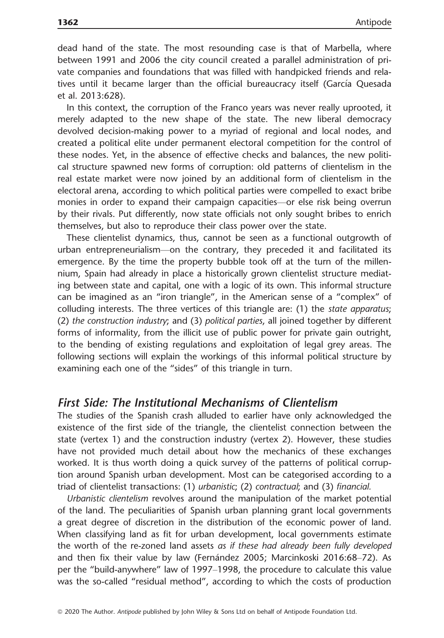dead hand of the state. The most resounding case is that of Marbella, where between 1991 and 2006 the city council created a parallel administration of private companies and foundations that was filled with handpicked friends and relatives until it became larger than the official bureaucracy itself (García Quesada et al. 2013:628).

In this context, the corruption of the Franco years was never really uprooted, it merely adapted to the new shape of the state. The new liberal democracy devolved decision-making power to a myriad of regional and local nodes, and created a political elite under permanent electoral competition for the control of these nodes. Yet, in the absence of effective checks and balances, the new political structure spawned new forms of corruption: old patterns of clientelism in the real estate market were now joined by an additional form of clientelism in the electoral arena, according to which political parties were compelled to exact bribe monies in order to expand their campaign capacities—or else risk being overrun by their rivals. Put differently, now state officials not only sought bribes to enrich themselves, but also to reproduce their class power over the state.

These clientelist dynamics, thus, cannot be seen as a functional outgrowth of urban entrepreneurialism—on the contrary, they preceded it and facilitated its emergence. By the time the property bubble took off at the turn of the millennium, Spain had already in place a historically grown clientelist structure mediating between state and capital, one with a logic of its own. This informal structure can be imagined as an "iron triangle", in the American sense of a "complex" of colluding interests. The three vertices of this triangle are: (1) the state apparatus; (2) the construction industry; and (3) political parties, all joined together by different forms of informality, from the illicit use of public power for private gain outright, to the bending of existing regulations and exploitation of legal grey areas. The following sections will explain the workings of this informal political structure by examining each one of the "sides" of this triangle in turn.

#### First Side: The Institutional Mechanisms of Clientelism

The studies of the Spanish crash alluded to earlier have only acknowledged the existence of the first side of the triangle, the clientelist connection between the state (vertex 1) and the construction industry (vertex 2). However, these studies have not provided much detail about how the mechanics of these exchanges worked. It is thus worth doing a quick survey of the patterns of political corruption around Spanish urban development. Most can be categorised according to a triad of clientelist transactions: (1) urbanistic; (2) contractual; and (3) financial.

Urbanistic clientelism revolves around the manipulation of the market potential of the land. The peculiarities of Spanish urban planning grant local governments a great degree of discretion in the distribution of the economic power of land. When classifying land as fit for urban development, local governments estimate the worth of the re-zoned land assets as if these had already been fully developed and then fix their value by law (Fernández 2005; Marcinkoski 2016:68–72). As per the "build-anywhere" law of 1997–1998, the procedure to calculate this value was the so-called "residual method", according to which the costs of production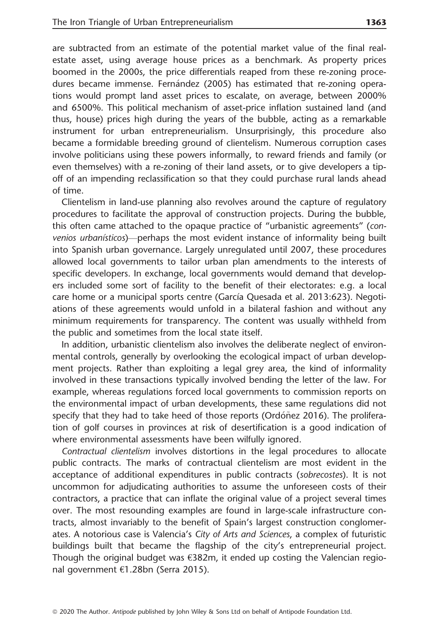are subtracted from an estimate of the potential market value of the final realestate asset, using average house prices as a benchmark. As property prices boomed in the 2000s, the price differentials reaped from these re-zoning procedures became immense. Fernández (2005) has estimated that re-zoning operations would prompt land asset prices to escalate, on average, between 2000% and 6500%. This political mechanism of asset-price inflation sustained land (and thus, house) prices high during the years of the bubble, acting as a remarkable instrument for urban entrepreneurialism. Unsurprisingly, this procedure also became a formidable breeding ground of clientelism. Numerous corruption cases involve politicians using these powers informally, to reward friends and family (or even themselves) with a re-zoning of their land assets, or to give developers a tipoff of an impending reclassification so that they could purchase rural lands ahead of time.

Clientelism in land-use planning also revolves around the capture of regulatory procedures to facilitate the approval of construction projects. During the bubble, this often came attached to the opaque practice of "urbanistic agreements" (convenios urbanísticos)—perhaps the most evident instance of informality being built into Spanish urban governance. Largely unregulated until 2007, these procedures allowed local governments to tailor urban plan amendments to the interests of specific developers. In exchange, local governments would demand that developers included some sort of facility to the benefit of their electorates: e.g. a local care home or a municipal sports centre (García Quesada et al. 2013:623). Negotiations of these agreements would unfold in a bilateral fashion and without any minimum requirements for transparency. The content was usually withheld from the public and sometimes from the local state itself.

In addition, urbanistic clientelism also involves the deliberate neglect of environmental controls, generally by overlooking the ecological impact of urban development projects. Rather than exploiting a legal grey area, the kind of informality involved in these transactions typically involved bending the letter of the law. For example, whereas regulations forced local governments to commission reports on the environmental impact of urban developments, these same regulations did not specify that they had to take heed of those reports (Ordónez 2016). The proliferation of golf courses in provinces at risk of desertification is a good indication of where environmental assessments have been wilfully ignored.

Contractual clientelism involves distortions in the legal procedures to allocate public contracts. The marks of contractual clientelism are most evident in the acceptance of additional expenditures in public contracts (sobrecostes). It is not uncommon for adjudicating authorities to assume the unforeseen costs of their contractors, a practice that can inflate the original value of a project several times over. The most resounding examples are found in large-scale infrastructure contracts, almost invariably to the benefit of Spain's largest construction conglomerates. A notorious case is Valencia's City of Arts and Sciences, a complex of futuristic buildings built that became the flagship of the city's entrepreneurial project. Though the original budget was €382m, it ended up costing the Valencian regional government €1.28bn (Serra 2015).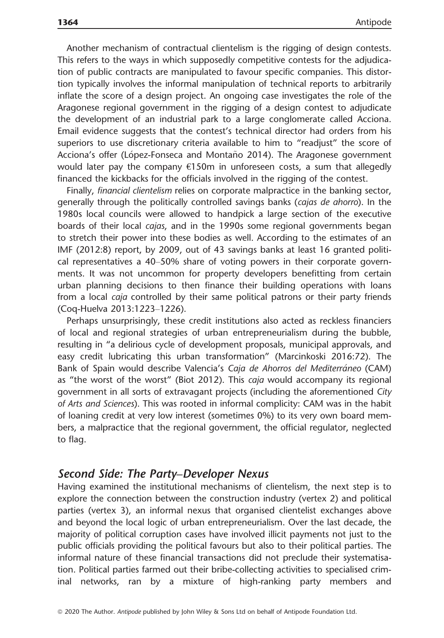Another mechanism of contractual clientelism is the rigging of design contests. This refers to the ways in which supposedly competitive contests for the adjudication of public contracts are manipulated to favour specific companies. This distortion typically involves the informal manipulation of technical reports to arbitrarily inflate the score of a design project. An ongoing case investigates the role of the Aragonese regional government in the rigging of a design contest to adjudicate the development of an industrial park to a large conglomerate called Acciona. Email evidence suggests that the contest's technical director had orders from his superiors to use discretionary criteria available to him to "readjust" the score of Acciona's offer (López-Fonseca and Montaño 2014). The Aragonese government would later pay the company €150m in unforeseen costs, a sum that allegedly financed the kickbacks for the officials involved in the rigging of the contest.

Finally, financial clientelism relies on corporate malpractice in the banking sector, generally through the politically controlled savings banks (cajas de ahorro). In the 1980s local councils were allowed to handpick a large section of the executive boards of their local cajas, and in the 1990s some regional governments began to stretch their power into these bodies as well. According to the estimates of an IMF (2012:8) report, by 2009, out of 43 savings banks at least 16 granted political representatives a 40–50% share of voting powers in their corporate governments. It was not uncommon for property developers benefitting from certain urban planning decisions to then finance their building operations with loans from a local caja controlled by their same political patrons or their party friends (Coq-Huelva 2013:1223–1226).

Perhaps unsurprisingly, these credit institutions also acted as reckless financiers of local and regional strategies of urban entrepreneurialism during the bubble, resulting in "a delirious cycle of development proposals, municipal approvals, and easy credit lubricating this urban transformation" (Marcinkoski 2016:72). The Bank of Spain would describe Valencia's Caja de Ahorros del Mediterráneo (CAM) as "the worst of the worst" (Biot 2012). This caja would accompany its regional government in all sorts of extravagant projects (including the aforementioned City of Arts and Sciences). This was rooted in informal complicity: CAM was in the habit of loaning credit at very low interest (sometimes 0%) to its very own board members, a malpractice that the regional government, the official regulator, neglected to flag.

#### Second Side: The Party–Developer Nexus

Having examined the institutional mechanisms of clientelism, the next step is to explore the connection between the construction industry (vertex 2) and political parties (vertex 3), an informal nexus that organised clientelist exchanges above and beyond the local logic of urban entrepreneurialism. Over the last decade, the majority of political corruption cases have involved illicit payments not just to the public officials providing the political favours but also to their political parties. The informal nature of these financial transactions did not preclude their systematisation. Political parties farmed out their bribe-collecting activities to specialised criminal networks, ran by a mixture of high-ranking party members and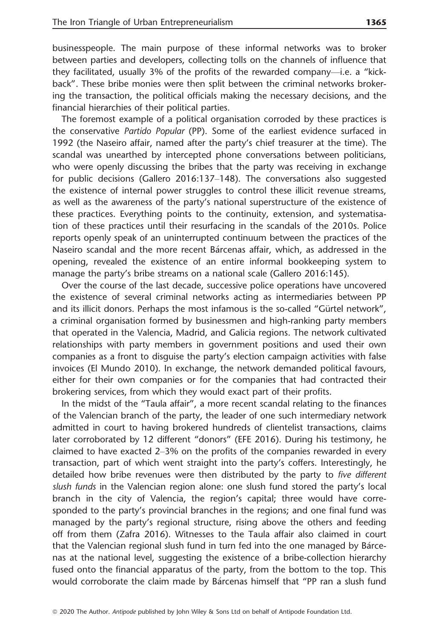businesspeople. The main purpose of these informal networks was to broker between parties and developers, collecting tolls on the channels of influence that they facilitated, usually 3% of the profits of the rewarded company—i.e. a "kickback". These bribe monies were then split between the criminal networks brokering the transaction, the political officials making the necessary decisions, and the financial hierarchies of their political parties.

The foremost example of a political organisation corroded by these practices is the conservative Partido Popular (PP). Some of the earliest evidence surfaced in 1992 (the Naseiro affair, named after the party's chief treasurer at the time). The scandal was unearthed by intercepted phone conversations between politicians, who were openly discussing the bribes that the party was receiving in exchange for public decisions (Gallero 2016:137–148). The conversations also suggested the existence of internal power struggles to control these illicit revenue streams, as well as the awareness of the party's national superstructure of the existence of these practices. Everything points to the continuity, extension, and systematisation of these practices until their resurfacing in the scandals of the 2010s. Police reports openly speak of an uninterrupted continuum between the practices of the Naseiro scandal and the more recent Barcenas affair, which, as addressed in the opening, revealed the existence of an entire informal bookkeeping system to manage the party's bribe streams on a national scale (Gallero 2016:145).

Over the course of the last decade, successive police operations have uncovered the existence of several criminal networks acting as intermediaries between PP and its illicit donors. Perhaps the most infamous is the so-called "Gürtel network", a criminal organisation formed by businessmen and high-ranking party members that operated in the Valencia, Madrid, and Galicia regions. The network cultivated relationships with party members in government positions and used their own companies as a front to disguise the party's election campaign activities with false invoices (El Mundo 2010). In exchange, the network demanded political favours, either for their own companies or for the companies that had contracted their brokering services, from which they would exact part of their profits.

In the midst of the "Taula affair", a more recent scandal relating to the finances of the Valencian branch of the party, the leader of one such intermediary network admitted in court to having brokered hundreds of clientelist transactions, claims later corroborated by 12 different "donors" (EFE 2016). During his testimony, he claimed to have exacted 2–3% on the profits of the companies rewarded in every transaction, part of which went straight into the party's coffers. Interestingly, he detailed how bribe revenues were then distributed by the party to five different slush funds in the Valencian region alone: one slush fund stored the party's local branch in the city of Valencia, the region's capital; three would have corresponded to the party's provincial branches in the regions; and one final fund was managed by the party's regional structure, rising above the others and feeding off from them (Zafra 2016). Witnesses to the Taula affair also claimed in court that the Valencian regional slush fund in turn fed into the one managed by Barcenas at the national level, suggesting the existence of a bribe-collection hierarchy fused onto the financial apparatus of the party, from the bottom to the top. This would corroborate the claim made by Barcenas himself that "PP ran a slush fund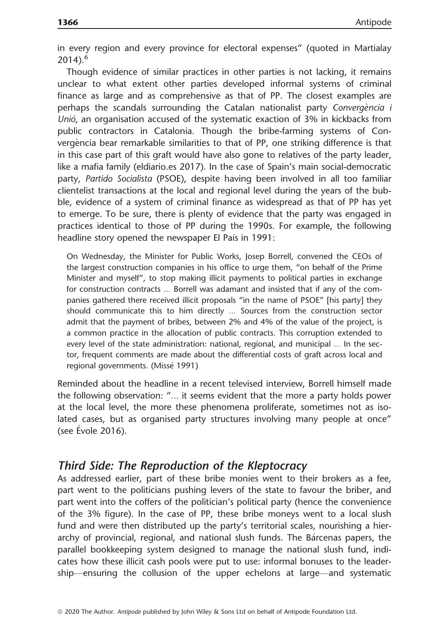in every region and every province for electoral expenses" (quoted in Martialay  $2014$ ).<sup>6</sup>

Though evidence of similar practices in other parties is not lacking, it remains unclear to what extent other parties developed informal systems of criminal finance as large and as comprehensive as that of PP. The closest examples are perhaps the scandals surrounding the Catalan nationalist party Convergència i Unió, an organisation accused of the systematic exaction of 3% in kickbacks from public contractors in Catalonia. Though the bribe-farming systems of Convergència bear remarkable similarities to that of PP, one striking difference is that in this case part of this graft would have also gone to relatives of the party leader, like a mafia family (eldiario.es 2017). In the case of Spain's main social-democratic party, Partido Socialista (PSOE), despite having been involved in all too familiar clientelist transactions at the local and regional level during the years of the bubble, evidence of a system of criminal finance as widespread as that of PP has yet to emerge. To be sure, there is plenty of evidence that the party was engaged in practices identical to those of PP during the 1990s. For example, the following headline story opened the newspaper El País in 1991:

On Wednesday, the Minister for Public Works, Josep Borrell, convened the CEOs of the largest construction companies in his office to urge them, "on behalf of the Prime Minister and myself", to stop making illicit payments to political parties in exchange for construction contracts ... Borrell was adamant and insisted that if any of the companies gathered there received illicit proposals "in the name of PSOE" [his party] they should communicate this to him directly ... Sources from the construction sector admit that the payment of bribes, between 2% and 4% of the value of the project, is a common practice in the allocation of public contracts. This corruption extended to every level of the state administration: national, regional, and municipal ... In the sector, frequent comments are made about the differential costs of graft across local and regional governments. (Missé 1991)

Reminded about the headline in a recent televised interview, Borrell himself made the following observation: "... it seems evident that the more a party holds power at the local level, the more these phenomena proliferate, sometimes not as isolated cases, but as organised party structures involving many people at once" (see Evole 2016).

# Third Side: The Reproduction of the Kleptocracy

As addressed earlier, part of these bribe monies went to their brokers as a fee, part went to the politicians pushing levers of the state to favour the briber, and part went into the coffers of the politician's political party (hence the convenience of the 3% figure). In the case of PP, these bribe moneys went to a local slush fund and were then distributed up the party's territorial scales, nourishing a hierarchy of provincial, regional, and national slush funds. The Bárcenas papers, the parallel bookkeeping system designed to manage the national slush fund, indicates how these illicit cash pools were put to use: informal bonuses to the leadership—ensuring the collusion of the upper echelons at large—and systematic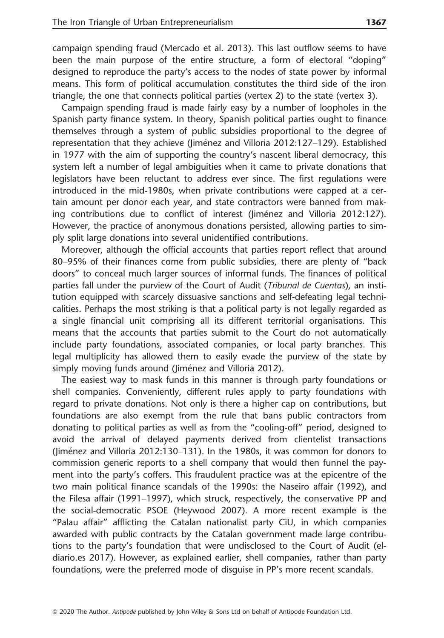campaign spending fraud (Mercado et al. 2013). This last outflow seems to have been the main purpose of the entire structure, a form of electoral "doping" designed to reproduce the party's access to the nodes of state power by informal means. This form of political accumulation constitutes the third side of the iron triangle, the one that connects political parties (vertex 2) to the state (vertex 3).

Campaign spending fraud is made fairly easy by a number of loopholes in the Spanish party finance system. In theory, Spanish political parties ought to finance themselves through a system of public subsidies proportional to the degree of representation that they achieve (Jimenez and Villoria 2012:127–129). Established in 1977 with the aim of supporting the country's nascent liberal democracy, this system left a number of legal ambiguities when it came to private donations that legislators have been reluctant to address ever since. The first regulations were introduced in the mid-1980s, when private contributions were capped at a certain amount per donor each year, and state contractors were banned from making contributions due to conflict of interest (Jiménez and Villoria 2012:127). However, the practice of anonymous donations persisted, allowing parties to simply split large donations into several unidentified contributions.

Moreover, although the official accounts that parties report reflect that around 80–95% of their finances come from public subsidies, there are plenty of "back doors" to conceal much larger sources of informal funds. The finances of political parties fall under the purview of the Court of Audit (Tribunal de Cuentas), an institution equipped with scarcely dissuasive sanctions and self-defeating legal technicalities. Perhaps the most striking is that a political party is not legally regarded as a single financial unit comprising all its different territorial organisations. This means that the accounts that parties submit to the Court do not automatically include party foundations, associated companies, or local party branches. This legal multiplicity has allowed them to easily evade the purview of the state by simply moving funds around (Jiménez and Villoria 2012).

The easiest way to mask funds in this manner is through party foundations or shell companies. Conveniently, different rules apply to party foundations with regard to private donations. Not only is there a higher cap on contributions, but foundations are also exempt from the rule that bans public contractors from donating to political parties as well as from the "cooling-off" period, designed to avoid the arrival of delayed payments derived from clientelist transactions (Jimenez and Villoria 2012:130–131). In the 1980s, it was common for donors to commission generic reports to a shell company that would then funnel the payment into the party's coffers. This fraudulent practice was at the epicentre of the two main political finance scandals of the 1990s: the Naseiro affair (1992), and the Filesa affair (1991–1997), which struck, respectively, the conservative PP and the social-democratic PSOE (Heywood 2007). A more recent example is the "Palau affair" afflicting the Catalan nationalist party CiU, in which companies awarded with public contracts by the Catalan government made large contributions to the party's foundation that were undisclosed to the Court of Audit (eldiario.es 2017). However, as explained earlier, shell companies, rather than party foundations, were the preferred mode of disguise in PP's more recent scandals.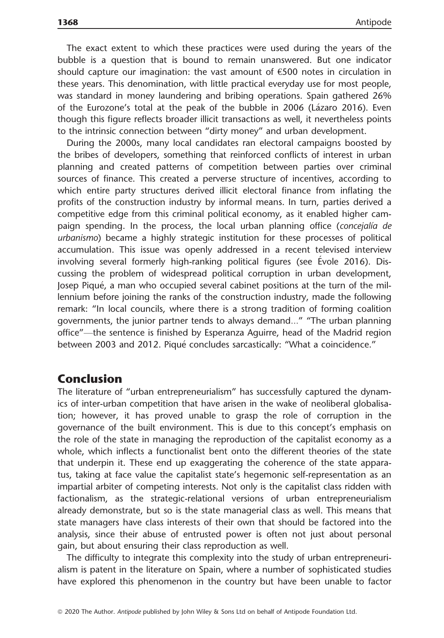The exact extent to which these practices were used during the years of the bubble is a question that is bound to remain unanswered. But one indicator should capture our imagination: the vast amount of  $\epsilon$ 500 notes in circulation in these years. This denomination, with little practical everyday use for most people, was standard in money laundering and bribing operations. Spain gathered 26% of the Eurozone's total at the peak of the bubble in 2006 (Lázaro 2016). Even though this figure reflects broader illicit transactions as well, it nevertheless points to the intrinsic connection between "dirty money" and urban development.

During the 2000s, many local candidates ran electoral campaigns boosted by the bribes of developers, something that reinforced conflicts of interest in urban planning and created patterns of competition between parties over criminal sources of finance. This created a perverse structure of incentives, according to which entire party structures derived illicit electoral finance from inflating the profits of the construction industry by informal means. In turn, parties derived a competitive edge from this criminal political economy, as it enabled higher campaign spending. In the process, the local urban planning office (concejalía de urbanismo) became a highly strategic institution for these processes of political accumulation. This issue was openly addressed in a recent televised interview involving several formerly high-ranking political figures (see Evole 2016). Discussing the problem of widespread political corruption in urban development, Josep Pique, a man who occupied several cabinet positions at the turn of the millennium before joining the ranks of the construction industry, made the following remark: "In local councils, where there is a strong tradition of forming coalition governments, the junior partner tends to always demand..." "The urban planning office"—the sentence is finished by Esperanza Aguirre, head of the Madrid region between 2003 and 2012. Piqué concludes sarcastically: "What a coincidence."

# Conclusion

The literature of "urban entrepreneurialism" has successfully captured the dynamics of inter-urban competition that have arisen in the wake of neoliberal globalisation; however, it has proved unable to grasp the role of corruption in the governance of the built environment. This is due to this concept's emphasis on the role of the state in managing the reproduction of the capitalist economy as a whole, which inflects a functionalist bent onto the different theories of the state that underpin it. These end up exaggerating the coherence of the state apparatus, taking at face value the capitalist state's hegemonic self-representation as an impartial arbiter of competing interests. Not only is the capitalist class ridden with factionalism, as the strategic-relational versions of urban entrepreneurialism already demonstrate, but so is the state managerial class as well. This means that state managers have class interests of their own that should be factored into the analysis, since their abuse of entrusted power is often not just about personal gain, but about ensuring their class reproduction as well.

The difficulty to integrate this complexity into the study of urban entrepreneurialism is patent in the literature on Spain, where a number of sophisticated studies have explored this phenomenon in the country but have been unable to factor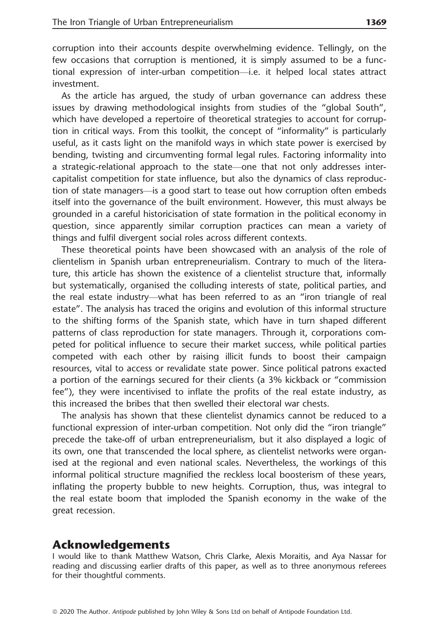corruption into their accounts despite overwhelming evidence. Tellingly, on the few occasions that corruption is mentioned, it is simply assumed to be a functional expression of inter-urban competition—i.e. it helped local states attract investment.

As the article has argued, the study of urban governance can address these issues by drawing methodological insights from studies of the "global South", which have developed a repertoire of theoretical strategies to account for corruption in critical ways. From this toolkit, the concept of "informality" is particularly useful, as it casts light on the manifold ways in which state power is exercised by bending, twisting and circumventing formal legal rules. Factoring informality into a strategic-relational approach to the state—one that not only addresses intercapitalist competition for state influence, but also the dynamics of class reproduction of state managers—is a good start to tease out how corruption often embeds itself into the governance of the built environment. However, this must always be grounded in a careful historicisation of state formation in the political economy in question, since apparently similar corruption practices can mean a variety of things and fulfil divergent social roles across different contexts.

These theoretical points have been showcased with an analysis of the role of clientelism in Spanish urban entrepreneurialism. Contrary to much of the literature, this article has shown the existence of a clientelist structure that, informally but systematically, organised the colluding interests of state, political parties, and the real estate industry—what has been referred to as an "iron triangle of real estate". The analysis has traced the origins and evolution of this informal structure to the shifting forms of the Spanish state, which have in turn shaped different patterns of class reproduction for state managers. Through it, corporations competed for political influence to secure their market success, while political parties competed with each other by raising illicit funds to boost their campaign resources, vital to access or revalidate state power. Since political patrons exacted a portion of the earnings secured for their clients (a 3% kickback or "commission fee"), they were incentivised to inflate the profits of the real estate industry, as this increased the bribes that then swelled their electoral war chests.

The analysis has shown that these clientelist dynamics cannot be reduced to a functional expression of inter-urban competition. Not only did the "iron triangle" precede the take-off of urban entrepreneurialism, but it also displayed a logic of its own, one that transcended the local sphere, as clientelist networks were organised at the regional and even national scales. Nevertheless, the workings of this informal political structure magnified the reckless local boosterism of these years, inflating the property bubble to new heights. Corruption, thus, was integral to the real estate boom that imploded the Spanish economy in the wake of the great recession.

#### Acknowledgements

I would like to thank Matthew Watson, Chris Clarke, Alexis Moraitis, and Aya Nassar for reading and discussing earlier drafts of this paper, as well as to three anonymous referees for their thoughtful comments.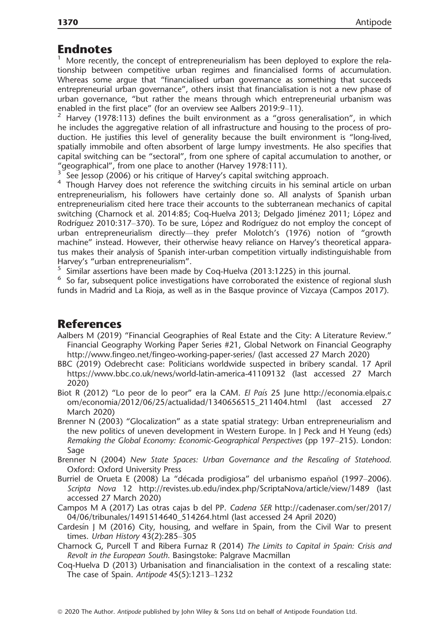#### Endnotes

More recently, the concept of entrepreneurialism has been deployed to explore the relationship between competitive urban regimes and financialised forms of accumulation. Whereas some argue that "financialised urban governance as something that succeeds entrepreneurial urban governance", others insist that financialisation is not a new phase of urban governance, "but rather the means through which entrepreneurial urbanism was

enabled in the first place" (for an overview see Aalbers 2019:9–11).<br><sup>2</sup> Harvey (1978:113) defines the built environment as a "gross generalisation", in which he includes the aggregative relation of all infrastructure and housing to the process of production. He justifies this level of generality because the built environment is "long-lived, spatially immobile and often absorbent of large lumpy investments. He also specifies that capital switching can be "sectoral", from one sphere of capital accumulation to another, or

"geographical", from one place to another (Harvey 1978:111).<br><sup>3</sup> See Jessop (2006) or his critique of Harvey's capital switching approach.<br><sup>4</sup> Though Harvey does not reference the switching circuits in his seminal article entrepreneurialism, his followers have certainly done so. All analysts of Spanish urban entrepreneurialism cited here trace their accounts to the subterranean mechanics of capital switching (Charnock et al. 2014:85; Coq-Huelva 2013; Delgado Jiménez 2011; López and Rodríguez 2010:317-370). To be sure, López and Rodríguez do not employ the concept of urban entrepreneurialism directly—they prefer Molotch's (1976) notion of "growth machine" instead. However, their otherwise heavy reliance on Harvey's theoretical apparatus makes their analysis of Spanish inter-urban competition virtually indistinguishable from

Harvey's "urban entrepreneurialism".<br><sup>5</sup> Similar assertions have been made by Coq-Huelva (2013:1225) in this journal.<br><sup>6</sup> So far, subsequent police investigations have corroborated the existence of regional slush funds in Madrid and La Rioja, as well as in the Basque province of Vizcaya (Campos 2017).

#### References

- Aalbers M (2019) "Financial Geographies of Real Estate and the City: A Literature Review." Financial Geography Working Paper Series #21, Global Network on Financial Geography http://www.fingeo.net/fi[ngeo-working-paper-series/](http://www.fingeo.net/fingeo-working-paper-series/) (last accessed 27 March 2020)
- BBC (2019) Odebrecht case: Politicians worldwide suspected in bribery scandal. 17 April <https://www.bbc.co.uk/news/world-latin-america-41109132> (last accessed 27 March 2020)
- Biot R (2012) "Lo peor de lo peor" era la CAM. El País 25 June [http://economia.elpais.c](http://economia.elpais.com/economia/2012/06/25/actualidad/1340656515_211404.html) [om/economia/2012/06/25/actualidad/1340656515\\_211404.html](http://economia.elpais.com/economia/2012/06/25/actualidad/1340656515_211404.html) (last accessed 27 March 2020)
- Brenner N (2003) "Glocalization" as a state spatial strategy: Urban entrepreneurialism and the new politics of uneven development in Western Europe. In J Peck and H Yeung (eds) Remaking the Global Economy: Economic-Geographical Perspectives (pp 197–215). London: Sage
- Brenner N (2004) New State Spaces: Urban Governance and the Rescaling of Statehood. Oxford: Oxford University Press
- Burriel de Orueta E (2008) La "década prodigiosa" del urbanismo español (1997-2006). Scripta Nova 12<http://revistes.ub.edu/index.php/ScriptaNova/article/view/1489> (last accessed 27 March 2020)
- Campos M A (2017) Las otras cajas b del PP. Cadena SER [http://cadenaser.com/ser/2017/](http://cadenaser.com/ser/2017/04/06/tribunales/1491514640_514264.html) [04/06/tribunales/1491514640\\_514264.html](http://cadenaser.com/ser/2017/04/06/tribunales/1491514640_514264.html) (last accessed 24 April 2020)
- Cardesin J M (2016) City, housing, and welfare in Spain, from the Civil War to present times. Urban History 43(2):285–305
- Charnock G, Purcell T and Ribera Furnaz R (2014) The Limits to Capital in Spain: Crisis and Revolt in the European South. Basingstoke: Palgrave Macmillan
- Coq-Huelva D (2013) Urbanisation and financialisation in the context of a rescaling state: The case of Spain. Antipode 45(5):1213–1232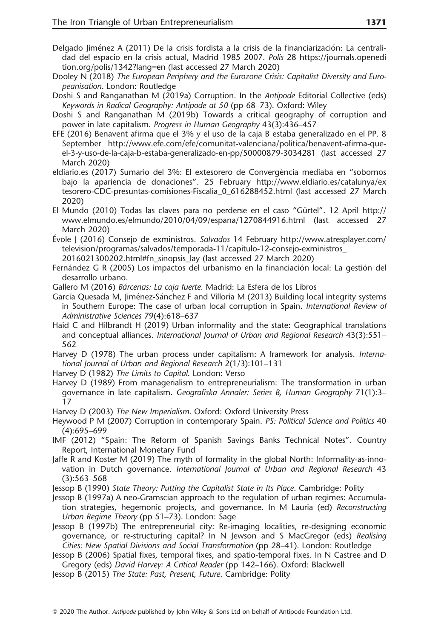- Delgado Jimenez A (2011) De la crisis fordista a la crisis de la financiarizacion: La centrali dad del espacio en la crisis actual, Madrid 1985 2007. Polis 28 [https://journals.openedi](https://journals.openedition.org/polis/1342?lang=en) [tion.org/polis/1342?lang](https://journals.openedition.org/polis/1342?lang=en)=en (last accessed 27 March 2020)
- Dooley N (2018) The European Periphery and the Eurozone Crisis: Capitalist Diversity and Europeanisation. London: Routledge
- Doshi S and Ranganathan M (2019a) Corruption. In the Antipode Editorial Collective (eds) Keywords in Radical Geography: Antipode at 50 (pp 68–73). Oxford: Wiley
- Doshi S and Ranganathan M (2019b) Towards a critical geography of corruption and power in late capitalism. Progress in Human Geography 43(3):436–457
- EFE (2016) Benavent afirma que el 3% y el uso de la caja B estaba generalizado en el PP. 8 September [http://www.efe.com/efe/comunitat-valenciana/politica/benavent-afirma-que](http://www.efe.com/efe/comunitat-valenciana/politica/benavent-afirma-que-el-3-y-uso-de-la-caja-b-estaba-generalizado-en-pp/50000879-3034281)[el-3-y-uso-de-la-caja-b-estaba-generalizado-en-pp/50000879-3034281](http://www.efe.com/efe/comunitat-valenciana/politica/benavent-afirma-que-el-3-y-uso-de-la-caja-b-estaba-generalizado-en-pp/50000879-3034281) (last accessed 27 March 2020)
- eldiario.es (2017) Sumario del 3%: El extesorero de Convergencia mediaba en "sobornos bajo la apariencia de donaciones". 25 February [http://www.eldiario.es/catalunya/ex](http://www.eldiario.es/catalunya/extesorero-CDC-presuntas-comisiones-Fiscalia_0_616288452.html) [tesorero-CDC-presuntas-comisiones-Fiscalia\\_0\\_616288452.html](http://www.eldiario.es/catalunya/extesorero-CDC-presuntas-comisiones-Fiscalia_0_616288452.html) (last accessed 27 March 2020)
- El Mundo (2010) Todas las claves para no perderse en el caso "Gürtel". 12 April [http://](http://www.elmundo.es/elmundo/2010/04/09/espana/1270844916.html) [www.elmundo.es/elmundo/2010/04/09/espana/1270844916.html](http://www.elmundo.es/elmundo/2010/04/09/espana/1270844916.html) (last accessed 27 March 2020)<br>
Évole J (2016) Consejo de exministros. Salvados 14 February [http://www.atresplayer.com/](httpfn_sinopsis_lay://www.atresplayer.com/television/programas/salvados/temporada-11/capitulo-12-consejo-exministros_2016021300202.html#fn_sinopsis_lay)
- [television/programas/salvados/temporada-11/capitulo-12-consejo-exministros\\_](httpfn_sinopsis_lay://www.atresplayer.com/television/programas/salvados/temporada-11/capitulo-12-consejo-exministros_2016021300202.html#fn_sinopsis_lay) [2016021300202.html#fn\\_sinopsis\\_lay](httpfn_sinopsis_lay://www.atresplayer.com/television/programas/salvados/temporada-11/capitulo-12-consejo-exministros_2016021300202.html#fn_sinopsis_lay) (last accessed 27 March 2020)
- Fernández G R (2005) Los impactos del urbanismo en la financiación local: La gestión del desarrollo urbano.
- Gallero M (2016) Bárcenas: La caja fuerte. Madrid: La Esfera de los Libros
- García Quesada M, Jiménez-Sánchez F and Villoria M (2013) Building local integrity systems in Southern Europe: The case of urban local corruption in Spain. International Review of Administrative Sciences 79(4):618–637
- Haid C and Hilbrandt H (2019) Urban informality and the state: Geographical translations and conceptual alliances. International Journal of Urban and Regional Research 43(3):551– 562
- Harvey D (1978) The urban process under capitalism: A framework for analysis. International Journal of Urban and Regional Research 2(1/3):101–131
- Harvey D (1982) The Limits to Capital. London: Verso
- Harvey D (1989) From managerialism to entrepreneurialism: The transformation in urban governance in late capitalism. Geografiska Annaler: Series B, Human Geography 71(1):3– 17
- Harvey D (2003) The New Imperialism. Oxford: Oxford University Press
- Heywood P M (2007) Corruption in contemporary Spain. PS: Political Science and Politics 40 (4):695–699
- IMF (2012) "Spain: The Reform of Spanish Savings Banks Technical Notes". Country Report, International Monetary Fund
- Jaffe R and Koster M (2019) The myth of formality in the global North: Informality-as-innovation in Dutch governance. International Journal of Urban and Regional Research 43 (3):563–568
- Jessop B (1990) State Theory: Putting the Capitalist State in Its Place. Cambridge: Polity
- Jessop B (1997a) A neo-Gramscian approach to the regulation of urban regimes: Accumulation strategies, hegemonic projects, and governance. In M Lauria (ed) Reconstructing Urban Regime Theory (pp 51–73). London: Sage
- Jessop B (1997b) The entrepreneurial city: Re-imaging localities, re-designing economic governance, or re-structuring capital? In N Jewson and S MacGregor (eds) Realising Cities: New Spatial Divisions and Social Transformation (pp 28–41). London: Routledge
- Jessop B (2006) Spatial fixes, temporal fixes, and spatio-temporal fixes. In N Castree and D Gregory (eds) David Harvey: A Critical Reader (pp 142–166). Oxford: Blackwell
- Jessop B (2015) The State: Past, Present, Future. Cambridge: Polity